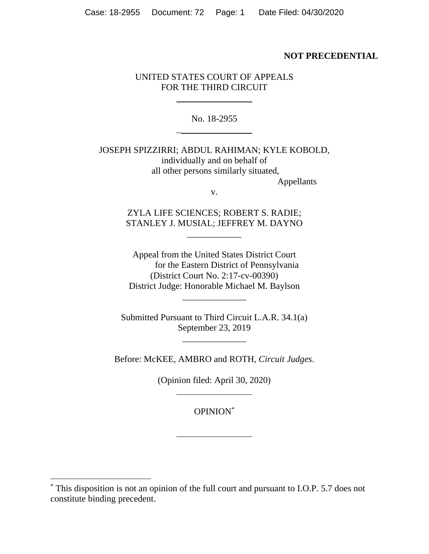## **NOT PRECEDENTIAL**

## UNITED STATES COURT OF APPEALS FOR THE THIRD CIRCUIT

No. 18-2955

\_

JOSEPH SPIZZIRRI; ABDUL RAHIMAN; KYLE KOBOLD, individually and on behalf of all other persons similarly situated, Appellants

v.

ZYLA LIFE SCIENCES; ROBERT S. RADIE; STANLEY J. MUSIAL; JEFFREY M. DAYNO

\_\_\_\_\_\_\_\_\_\_\_\_

Appeal from the United States District Court for the Eastern District of Pennsylvania (District Court No. 2:17-cv-00390) District Judge: Honorable Michael M. Baylson

\_\_\_\_\_\_\_\_\_\_\_\_\_\_

Submitted Pursuant to Third Circuit L.A.R. 34.1(a) September 23, 2019

\_\_\_\_\_\_\_\_\_\_\_\_\_\_

Before: McKEE, AMBRO and ROTH, *Circuit Judges*.

(Opinion filed: April 30, 2020)

OPINION\*

<sup>\*</sup> This disposition is not an opinion of the full court and pursuant to I.O.P. 5.7 does not constitute binding precedent.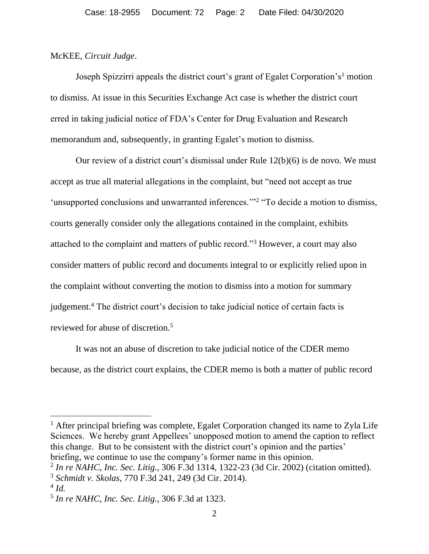## McKEE, *Circuit Judge*.

Joseph Spizzirri appeals the district court's grant of Egalet Corporation's<sup>1</sup> motion to dismiss. At issue in this Securities Exchange Act case is whether the district court erred in taking judicial notice of FDA's Center for Drug Evaluation and Research memorandum and, subsequently, in granting Egalet's motion to dismiss.

Our review of a district court's dismissal under Rule 12(b)(6) is de novo. We must accept as true all material allegations in the complaint, but "need not accept as true 'unsupported conclusions and unwarranted inferences."<sup>2</sup> "To decide a motion to dismiss, courts generally consider only the allegations contained in the complaint, exhibits attached to the complaint and matters of public record."<sup>3</sup> However, a court may also consider matters of public record and documents integral to or explicitly relied upon in the complaint without converting the motion to dismiss into a motion for summary judgement.<sup>4</sup> The district court's decision to take judicial notice of certain facts is reviewed for abuse of discretion.<sup>5</sup>

It was not an abuse of discretion to take judicial notice of the CDER memo because, as the district court explains, the CDER memo is both a matter of public record

<sup>1</sup> After principal briefing was complete, Egalet Corporation changed its name to Zyla Life Sciences. We hereby grant Appellees' unopposed motion to amend the caption to reflect this change. But to be consistent with the district court's opinion and the parties' briefing, we continue to use the company's former name in this opinion.

2 *In re NAHC, Inc. Sec. Litig.*, 306 F.3d 1314, 1322-23 (3d Cir. 2002) (citation omitted).

<sup>3</sup> *Schmidt v. Skolas*, 770 F.3d 241, 249 (3d Cir. 2014).

<sup>4</sup> *Id.* 

<sup>5</sup> *In re NAHC, Inc. Sec. Litig.,* 306 F.3d at 1323.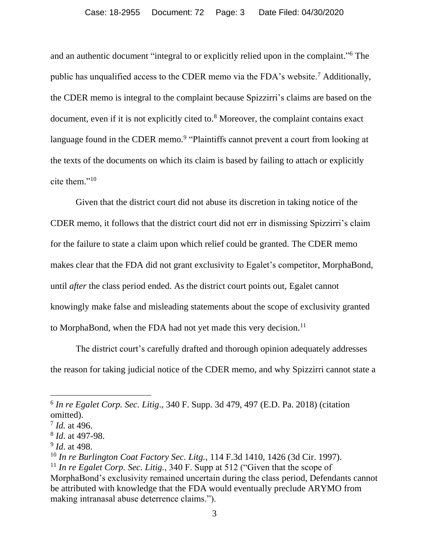and an authentic document "integral to or explicitly relied upon in the complaint." <sup>6</sup> The public has unqualified access to the CDER memo via the FDA's website.<sup>7</sup> Additionally, the CDER memo is integral to the complaint because Spizzirri's claims are based on the document, even if it is not explicitly cited to.<sup>8</sup> Moreover, the complaint contains exact language found in the CDER memo.<sup>9</sup> "Plaintiffs cannot prevent a court from looking at the texts of the documents on which its claim is based by failing to attach or explicitly cite them."<sup>10</sup>

Given that the district court did not abuse its discretion in taking notice of the CDER memo, it follows that the district court did not err in dismissing Spizzirri's claim for the failure to state a claim upon which relief could be granted. The CDER memo makes clear that the FDA did not grant exclusivity to Egalet's competitor, MorphaBond, until *after* the class period ended. As the district court points out, Egalet cannot knowingly make false and misleading statements about the scope of exclusivity granted to MorphaBond, when the FDA had not yet made this very decision.<sup>11</sup>

The district court's carefully drafted and thorough opinion adequately addresses the reason for taking judicial notice of the CDER memo, and why Spizzirri cannot state a

<sup>6</sup> *In re Egalet Corp. Sec. Litig*., 340 F. Supp. 3d 479, 497 (E.D. Pa. 2018) (citation omitted).

<sup>7</sup> *Id.* at 496.

<sup>8</sup> *Id*. at 497-98.

<sup>9</sup> *Id*. at 498.

<sup>10</sup> *In re Burlington Coat Factory Sec. Litg.*, 114 F.3d 1410, 1426 (3d Cir. 1997).

<sup>11</sup> *In re Egalet Corp. Sec. Litig.*, 340 F. Supp at 512 ("Given that the scope of MorphaBond's exclusivity remained uncertain during the class period, Defendants cannot be attributed with knowledge that the FDA would eventually preclude ARYMO from making intranasal abuse deterrence claims.").